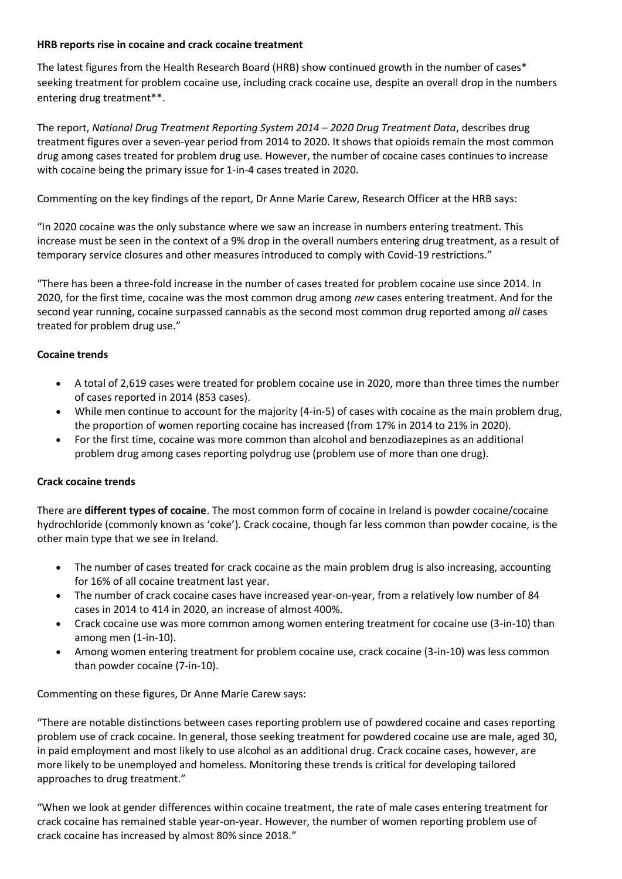# **HRB reports rise in cocaine and crack cocaine treatment**

The latest figures from the Health Research Board (HRB) show continued growth in the number of cases\* seeking treatment for problem cocaine use, including crack cocaine use, despite an overall drop in the numbers entering drug treatment\*\*.

The report, *National Drug Treatment Reporting System 2014 – 2020 Drug Treatment Data*, describes drug treatment figures over a seven-year period from 2014 to 2020. It shows that opioids remain the most common drug among cases treated for problem drug use. However, the number of cocaine cases continues to increase with cocaine being the primary issue for 1-in-4 cases treated in 2020.

Commenting on the key findings of the report, Dr Anne Marie Carew, Research Officer at the HRB says:

"In 2020 cocaine was the only substance where we saw an increase in numbers entering treatment. This increase must be seen in the context of a 9% drop in the overall numbers entering drug treatment, as a result of temporary service closures and other measures introduced to comply with Covid-19 restrictions."

"There has been a three-fold increase in the number of cases treated for problem cocaine use since 2014. In 2020, for the first time, cocaine was the most common drug among *new* cases entering treatment. And for the second year running, cocaine surpassed cannabis as the second most common drug reported among *all* cases treated for problem drug use."

# **Cocaine trends**

- A total of 2,619 cases were treated for problem cocaine use in 2020, more than three times the number of cases reported in 2014 (853 cases).
- While men continue to account for the majority (4-in-5) of cases with cocaine as the main problem drug, the proportion of women reporting cocaine has increased (from 17% in 2014 to 21% in 2020).
- For the first time, cocaine was more common than alcohol and benzodiazepines as an additional problem drug among cases reporting polydrug use (problem use of more than one drug).

# **Crack cocaine trends**

There are **different types of cocaine**. The most common form of cocaine in Ireland is powder cocaine/cocaine hydrochloride (commonly known as 'coke'). Crack cocaine, though far less common than powder cocaine, is the other main type that we see in Ireland.

- The number of cases treated for crack cocaine as the main problem drug is also increasing, accounting for 16% of all cocaine treatment last year.
- The number of crack cocaine cases have increased year-on-year, from a relatively low number of 84 cases in 2014 to 414 in 2020, an increase of almost 400%.
- Crack cocaine use was more common among women entering treatment for cocaine use (3-in-10) than among men (1-in-10).
- Among women entering treatment for problem cocaine use, crack cocaine (3-in-10) was less common than powder cocaine (7-in-10).

Commenting on these figures, Dr Anne Marie Carew says:

"There are notable distinctions between cases reporting problem use of powdered cocaine and cases reporting problem use of crack cocaine. In general, those seeking treatment for powdered cocaine use are male, aged 30, in paid employment and most likely to use alcohol as an additional drug. Crack cocaine cases, however, are more likely to be unemployed and homeless. Monitoring these trends is critical for developing tailored approaches to drug treatment."

"When we look at gender differences within cocaine treatment, the rate of male cases entering treatment for crack cocaine has remained stable year-on-year. However, the number of women reporting problem use of crack cocaine has increased by almost 80% since 2018."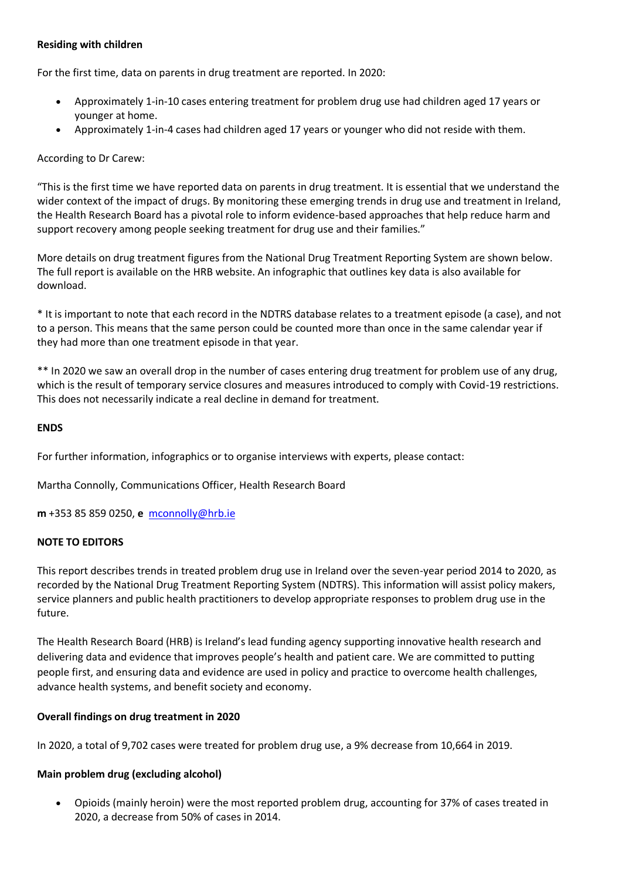# **Residing with children**

For the first time, data on parents in drug treatment are reported. In 2020:

- Approximately 1-in-10 cases entering treatment for problem drug use had children aged 17 years or younger at home.
- Approximately 1-in-4 cases had children aged 17 years or younger who did not reside with them.

### According to Dr Carew:

"This is the first time we have reported data on parents in drug treatment. It is essential that we understand the wider context of the impact of drugs. By monitoring these emerging trends in drug use and treatment in Ireland, the Health Research Board has a pivotal role to inform evidence-based approaches that help reduce harm and support recovery among people seeking treatment for drug use and their families."

More details on drug treatment figures from the National Drug Treatment Reporting System are shown below. The full report is available on the HRB website. An infographic that outlines key data is also available for download.

\* It is important to note that each record in the NDTRS database relates to a treatment episode (a case), and not to a person. This means that the same person could be counted more than once in the same calendar year if they had more than one treatment episode in that year.

\*\* In 2020 we saw an overall drop in the number of cases entering drug treatment for problem use of any drug, which is the result of temporary service closures and measures introduced to comply with Covid-19 restrictions. This does not necessarily indicate a real decline in demand for treatment.

#### **ENDS**

For further information, infographics or to organise interviews with experts, please contact:

Martha Connolly, Communications Officer, Health Research Board

**m** +353 85 859 0250, **e** [mconnolly@hrb.ie](mailto:mconnolly@hrb.ie)

#### **NOTE TO EDITORS**

This report describes trends in treated problem drug use in Ireland over the seven-year period 2014 to 2020, as recorded by the National Drug Treatment Reporting System (NDTRS). This information will assist policy makers, service planners and public health practitioners to develop appropriate responses to problem drug use in the future.

The Health Research Board (HRB) is Ireland's lead funding agency supporting innovative health research and delivering data and evidence that improves people's health and patient care. We are committed to putting people first, and ensuring data and evidence are used in policy and practice to overcome health challenges, advance health systems, and benefit society and economy.

#### **Overall findings on drug treatment in 2020**

In 2020, a total of 9,702 cases were treated for problem drug use, a 9% decrease from 10,664 in 2019.

#### **Main problem drug (excluding alcohol)**

• Opioids (mainly heroin) were the most reported problem drug, accounting for 37% of cases treated in 2020, a decrease from 50% of cases in 2014.